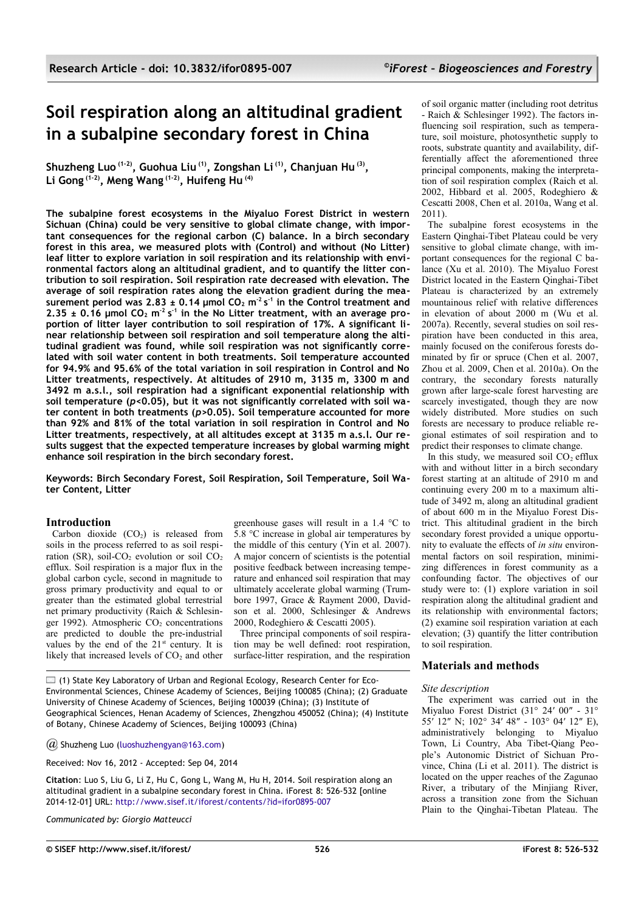# **Soil respiration along an altitudinal gradient in a subalpine secondary forest in China**

**Shuzheng Luo (1-2), Guohua Liu (1), Zongshan Li (1), Chanjuan Hu (3) , Li Gong (1-2), Meng Wang (1-2), Huifeng Hu (4)**

**The subalpine forest ecosystems in the Miyaluo Forest District in western Sichuan (China) could be very sensitive to global climate change, with important consequences for the regional carbon (C) balance. In a birch secondary forest in this area, we measured plots with (Control) and without (No Litter) leaf litter to explore variation in soil respiration and its relationship with environmental factors along an altitudinal gradient, and to quantify the litter contribution to soil respiration. Soil respiration rate decreased with elevation. The average of soil respiration rates along the elevation gradient during the measurement period was 2.83 ± 0.14 μmol CO2 m-2 s -1 in the Control treatment and**  $2.35 \pm 0.16$  µmol  $CO<sub>2</sub>$  m<sup>-2</sup> s<sup>-1</sup> in the No Litter treatment, with an average pro**portion of litter layer contribution to soil respiration of 17%. A significant linear relationship between soil respiration and soil temperature along the altitudinal gradient was found, while soil respiration was not significantly correlated with soil water content in both treatments. Soil temperature accounted for 94.9% and 95.6% of the total variation in soil respiration in Control and No Litter treatments, respectively. At altitudes of 2910 m, 3135 m, 3300 m and 3492 m a.s.l., soil respiration had a significant exponential relationship with soil temperature (***p<***0.05), but it was not significantly correlated with soil water content in both treatments (***p>***0.05). Soil temperature accounted for more than 92% and 81% of the total variation in soil respiration in Control and No Litter treatments, respectively, at all altitudes except at 3135 m a.s.l. Our results suggest that the expected temperature increases by global warming might enhance soil respiration in the birch secondary forest.**

**Keywords: Birch Secondary Forest, Soil Respiration, Soil Temperature, Soil Water Content, Litter**

## **Introduction**

Carbon dioxide  $(CO<sub>2</sub>)$  is released from soils in the process referred to as soil respiration (SR), soil- $CO<sub>2</sub>$  evolution or soil  $CO<sub>2</sub>$ efflux. Soil respiration is a major flux in the global carbon cycle, second in magnitude to gross primary productivity and equal to or greater than the estimated global terrestrial net primary productivity (Raich & Schlesinger 1992). Atmospheric  $CO<sub>2</sub>$  concentrations are predicted to double the pre-industrial values by the end of the  $21^{st}$  century. It is likely that increased levels of  $CO<sub>2</sub>$  and other greenhouse gases will result in a 1.4 °C to 5.8 °C increase in global air temperatures by the middle of this century (Yin et al. 2007). A major concern of scientists is the potential positive feedback between increasing temperature and enhanced soil respiration that may ultimately accelerate global warming (Trumbore 1997, Grace & Rayment 2000, Davidson et al. 2000, Schlesinger & Andrews 2000, Rodeghiero & Cescatti 2005).

Three principal components of soil respiration may be well defined: root respiration, surface-litter respiration, and the respiration

 $\Box$  (1) State Key Laboratory of Urban and Regional Ecology, Research Center for Eco-Environmental Sciences, Chinese Academy of Sciences, Beijing 100085 (China); (2) Graduate University of Chinese Academy of Sciences, Beijing 100039 (China); (3) Institute of Geographical Sciences, Henan Academy of Sciences, Zhengzhou 450052 (China); (4) Institute of Botany, Chinese Academy of Sciences, Beijing 100093 (China)

*@* Shuzheng Luo [\(luoshuzhengyan@163.com\)](mailto:)

Received: Nov 16, 2012 - Accepted: Sep 04, 2014

**Citation**: Luo S, Liu G, Li Z, Hu C, Gong L, Wang M, Hu H, 2014. Soil respiration along an altitudinal gradient in a subalpine secondary forest in China. iForest 8: 526-532 [online 2014-12-01] URL:<http://www.sisef.it/iforest/contents/?id=ifor0895-007>

*Communicated by: Giorgio Matteucci*

of soil organic matter (including root detritus - Raich & Schlesinger 1992). The factors influencing soil respiration, such as temperature, soil moisture, photosynthetic supply to roots, substrate quantity and availability, differentially affect the aforementioned three principal components, making the interpretation of soil respiration complex (Raich et al. 2002, Hibbard et al. 2005, Rodeghiero & Cescatti 2008, Chen et al. 2010a, Wang et al. 2011).

The subalpine forest ecosystems in the Eastern Qinghai-Tibet Plateau could be very sensitive to global climate change, with important consequences for the regional C balance (Xu et al. 2010). The Miyaluo Forest District located in the Eastern Qinghai-Tibet Plateau is characterized by an extremely mountainous relief with relative differences in elevation of about 2000 m (Wu et al. 2007a). Recently, several studies on soil respiration have been conducted in this area, mainly focused on the coniferous forests dominated by fir or spruce (Chen et al. 2007, Zhou et al. 2009, Chen et al. 2010a). On the contrary, the secondary forests naturally grown after large-scale forest harvesting are scarcely investigated, though they are now widely distributed. More studies on such forests are necessary to produce reliable regional estimates of soil respiration and to predict their responses to climate change.

In this study, we measured soil  $CO<sub>2</sub>$  efflux with and without litter in a birch secondary forest starting at an altitude of 2910 m and continuing every 200 m to a maximum altitude of 3492 m, along an altitudinal gradient of about 600 m in the Miyaluo Forest District. This altitudinal gradient in the birch secondary forest provided a unique opportunity to evaluate the effects of *in situ* environmental factors on soil respiration, minimizing differences in forest community as a confounding factor. The objectives of our study were to: (1) explore variation in soil respiration along the altitudinal gradient and its relationship with environmental factors; (2) examine soil respiration variation at each elevation; (3) quantify the litter contribution to soil respiration.

# **Materials and methods**

### *Site description*

The experiment was carried out in the Miyaluo Forest District (31° 24′ 00″ - 31° 55′ 12″ N; 102° 34′ 48″ - 103° 04′ 12″ E), administratively belonging to Miyaluo Town, Li Country, Aba Tibet-Qiang People's Autonomic District of Sichuan Province, China (Li et al. 2011). The district is located on the upper reaches of the Zagunao River, a tributary of the Minjiang River, across a transition zone from the Sichuan Plain to the Qinghai-Tibetan Plateau. The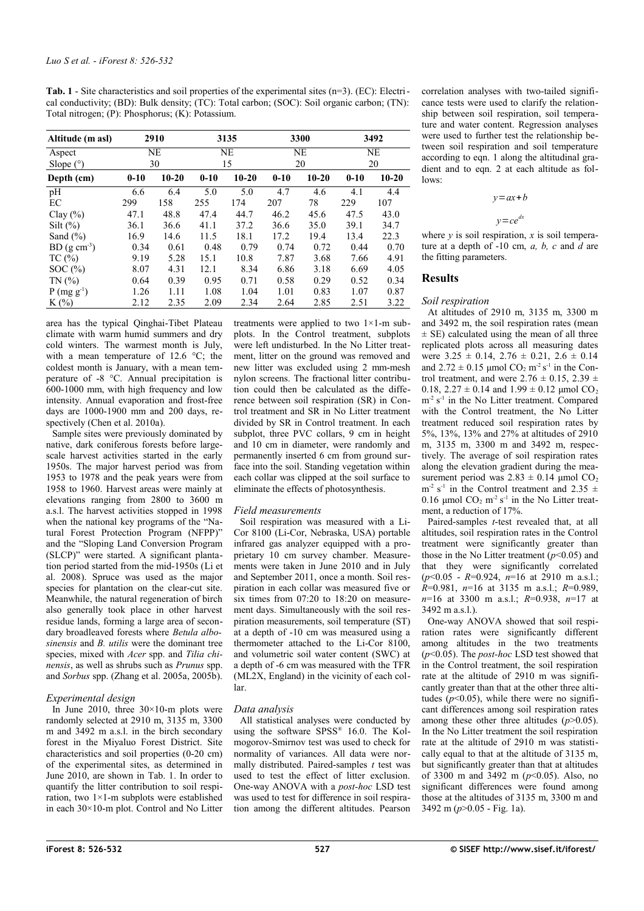<span id="page-1-0"></span>**Tab. 1** - Site characteristics and soil properties of the experimental sites (n=3). (EC): Electrical conductivity; (BD): Bulk density; (TC): Total carbon; (SOC): Soil organic carbon; (TN): Total nitrogen; (P): Phosphorus; (K): Potassium.

| Altitude (m asl) | 2910     |           | 3135      |           | 3300      |           | 3492      |           |
|------------------|----------|-----------|-----------|-----------|-----------|-----------|-----------|-----------|
| Aspect           | NE       |           | <b>NE</b> |           | <b>NE</b> |           | <b>NE</b> |           |
| Slope $(°)$      | 30       |           | 15        |           | 20        |           | 20        |           |
| Depth (cm)       | $0 - 10$ | $10 - 20$ | $0 - 10$  | $10 - 20$ | $0 - 10$  | $10 - 20$ | $0 - 10$  | $10 - 20$ |
| pH               | 6.6      | 6.4       | 5.0       | 5.0       | 4.7       | 4.6       | 4.1       | 4.4       |
| EC               | 299      | 158       | 255       | 174       | 207       | 78        | 229       | 107       |
| Clay $(\% )$     | 47.1     | 48.8      | 47.4      | 44.7      | 46.2      | 45.6      | 47.5      | 43.0      |
| Silt $(\%)$      | 36.1     | 36.6      | 41.1      | 37.2      | 36.6      | 35.0      | 39.1      | 34.7      |
| Sand $(\% )$     | 16.9     | 14.6      | 11.5      | 18.1      | 17.2      | 19.4      | 13.4      | 22.3      |
| $BD (g cm-3)$    | 0.34     | 0.61      | 0.48      | 0.79      | 0.74      | 0.72      | 0.44      | 0.70      |
| TC(%)            | 9.19     | 5.28      | 15.1      | 10.8      | 7.87      | 3.68      | 7.66      | 4.91      |
| SOC(%)           | 8.07     | 4.31      | 12.1      | 8.34      | 6.86      | 3.18      | 6.69      | 4.05      |
| TN(%             | 0.64     | 0.39      | 0.95      | 0.71      | 0.58      | 0.29      | 0.52      | 0.34      |
| $P (mg g^{-1})$  | 1.26     | 1.11      | 1.08      | 1.04      | 1.01      | 0.83      | 1.07      | 0.87      |
| $K(\%)$          | 2.12     | 2.35      | 2.09      | 2.34      | 2.64      | 2.85      | 2.51      | 3.22      |

area has the typical Qinghai-Tibet Plateau climate with warm humid summers and dry cold winters. The warmest month is July, with a mean temperature of 12.6 °C; the coldest month is January, with a mean temperature of -8 °C. Annual precipitation is 600-1000 mm, with high frequency and low intensity. Annual evaporation and frost-free days are 1000-1900 mm and 200 days, respectively (Chen et al. 2010a).

Sample sites were previously dominated by native, dark coniferous forests before largescale harvest activities started in the early 1950s. The major harvest period was from 1953 to 1978 and the peak years were from 1958 to 1960. Harvest areas were mainly at elevations ranging from 2800 to 3600 m a.s.l. The harvest activities stopped in 1998 when the national key programs of the "Natural Forest Protection Program (NFPP)" and the "Sloping Land Conversion Program (SLCP)" were started. A significant plantation period started from the mid-1950s (Li et al. 2008). Spruce was used as the major species for plantation on the clear-cut site. Meanwhile, the natural regeneration of birch also generally took place in other harvest residue lands, forming a large area of secondary broadleaved forests where *Betula albosinensis* and *B. utilis* were the dominant tree species, mixed with *Acer* spp. and *Tilia chinensis*, as well as shrubs such as *Prunus* spp. and *Sorbus* spp. (Zhang et al. 2005a, 2005b).

### *Experimental design*

In June 2010, three  $30 \times 10$ -m plots were randomly selected at 2910 m, 3135 m, 3300 m and 3492 m a.s.l. in the birch secondary forest in the Miyaluo Forest District. Site characteristics and soil properties (0-20 cm) of the experimental sites, as determined in June 2010, are shown in [Tab. 1.](#page-1-0) In order to quantify the litter contribution to soil respiration, two  $1\times1$ -m subplots were established in each 30×10-m plot. Control and No Litter treatments were applied to two 1×1-m subplots. In the Control treatment, subplots were left undisturbed. In the No Litter treatment, litter on the ground was removed and new litter was excluded using 2 mm-mesh nylon screens. The fractional litter contribution could then be calculated as the difference between soil respiration (SR) in Control treatment and SR in No Litter treatment divided by SR in Control treatment. In each subplot, three PVC collars, 9 cm in height and 10 cm in diameter, were randomly and permanently inserted 6 cm from ground surface into the soil. Standing vegetation within each collar was clipped at the soil surface to eliminate the effects of photosynthesis.

## *Field measurements*

Soil respiration was measured with a Li-Cor 8100 (Li-Cor, Nebraska, USA) portable infrared gas analyzer equipped with a proprietary 10 cm survey chamber. Measurements were taken in June 2010 and in July and September 2011, once a month. Soil respiration in each collar was measured five or six times from 07:20 to 18:20 on measurement days. Simultaneously with the soil respiration measurements, soil temperature (ST) at a depth of -10 cm was measured using a thermometer attached to the Li-Cor 8100, and volumetric soil water content (SWC) at a depth of -6 cm was measured with the TFR (ML2X, England) in the vicinity of each collar.

### *Data analysis*

All statistical analyses were conducted by using the software SPSS® 16.0. The Kolmogorov-Smirnov test was used to check for normality of variances. All data were normally distributed. Paired-samples *t* test was used to test the effect of litter exclusion. One-way ANOVA with a *post-hoc* LSD test was used to test for difference in soil respiration among the different altitudes. Pearson

correlation analyses with two-tailed significance tests were used to clarify the relationship between soil respiration, soil temperature and water content. Regression analyses were used to further test the relationship between soil respiration and soil temperature according to eqn. 1 along the altitudinal gradient and to eqn. 2 at each altitude as follows:

#### *y*=*ax*+*b*

*y*=*ce dx*

where  $y$  is soil respiration,  $x$  is soil temperature at a depth of -10 cm, *a, b, c* and *d* are the fitting parameters.

# **Results**

## *Soil respiration*

At altitudes of 2910 m, 3135 m, 3300 m and 3492 m, the soil respiration rates (mean  $\pm$  SE) calculated using the mean of all three replicated plots across all measuring dates were  $3.25 \pm 0.14$ ,  $2.76 \pm 0.21$ ,  $2.6 \pm 0.14$ and  $2.72 \pm 0.15$  µmol  $CO_2$  m<sup>-2</sup> s<sup>-1</sup> in the Control treatment, and were  $2.76 \pm 0.15$ ,  $2.39 \pm 1.5$ 0.18,  $2.27 \pm 0.14$  and  $1.99 \pm 0.12$  µmol CO<sub>2</sub>  $m<sup>-2</sup>$  s<sup>-1</sup> in the No Litter treatment. Compared with the Control treatment, the No Litter treatment reduced soil respiration rates by 5%, 13%, 13% and 27% at altitudes of 2910 m, 3135 m, 3300 m and 3492 m, respectively. The average of soil respiration rates along the elevation gradient during the measurement period was  $2.83 \pm 0.14$  μmol CO<sub>2</sub>  $m^{-2}$  s<sup>-1</sup> in the Control treatment and 2.35  $\pm$ 0.16  $\mu$ mol CO<sub>2</sub> m<sup>-2</sup> s<sup>-1</sup> in the No Litter treatment, a reduction of 17%.

Paired-samples *t*-test revealed that, at all altitudes, soil respiration rates in the Control treatment were significantly greater than those in the No Litter treatment (*p*<0.05) and that they were significantly correlated (*p*<0.05 - *R*=0.924, *n*=16 at 2910 m a.s.l.; *R*=0.981, *n*=16 at 3135 m a.s.l.; *R*=0.989, *n*=16 at 3300 m a.s.l.; *R*=0.938, *n*=17 at 3492 m a.s.l.).

One-way ANOVA showed that soil respiration rates were significantly different among altitudes in the two treatments (*p*<0.05). The *post-hoc* LSD test showed that in the Control treatment, the soil respiration rate at the altitude of 2910 m was significantly greater than that at the other three altitudes  $(p<0.05)$ , while there were no significant differences among soil respiration rates among these other three altitudes  $(p>0.05)$ . In the No Litter treatment the soil respiration rate at the altitude of 2910 m was statistically equal to that at the altitude of 3135 m, but significantly greater than that at altitudes of 3300 m and 3492 m (*p*<0.05). Also, no significant differences were found among those at the altitudes of 3135 m, 3300 m and 3492 m (*p*>0.05 - [Fig. 1a](#page-2-0)).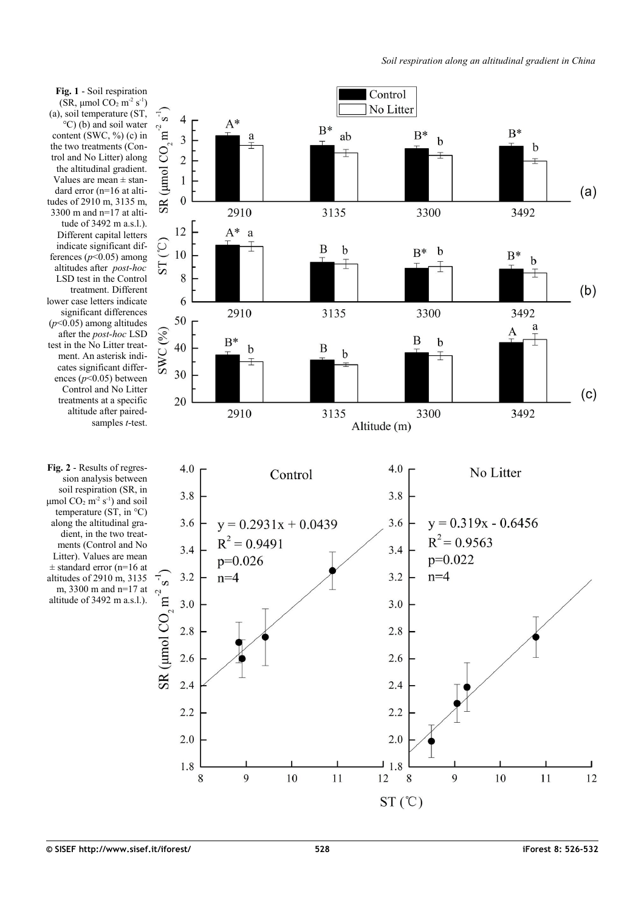<span id="page-2-0"></span>

(SR,  $\mu$ mol CO<sub>2</sub> m<sup>-2</sup> s<sup>-1</sup>) (a), soil temperature (ST, °C) (b) and soil water content (SWC, %) (c) in the two treatments (Control and No Litter) along the altitudinal gradient. Values are mean  $\pm$  standard error (n=16 at altitudes of 2910 m, 3135 m, 3300 m and n=17 at altitude of 3492 m a.s.l.). Different capital letters indicate significant differences  $(p<0.05)$  among altitudes after *post-hoc* LSD test in the Control treatment. Different lower case letters indicate significant differences (*p*<0.05) among altitudes after the *post-hoc* LSD test in the No Litter treatment. An asterisk indicates significant differences (*p*<0.05) between Control and No Litter treatments at a specific altitude after pairedsamples *t*-test.

<span id="page-2-1"></span>**Fig. 2** - Results of regression analysis between soil respiration (SR, in μmol  $CO<sub>2</sub>$  m<sup>-2</sup> s<sup>-1</sup>) and soil temperature (ST, in °C) along the altitudinal gradient, in the two treatments (Control and No Litter). Values are mean  $\pm$  standard error (n=16 at altitudes of 2910 m, 3135 m, 3300 m and n=17 at altitude of 3492 m a.s.l.).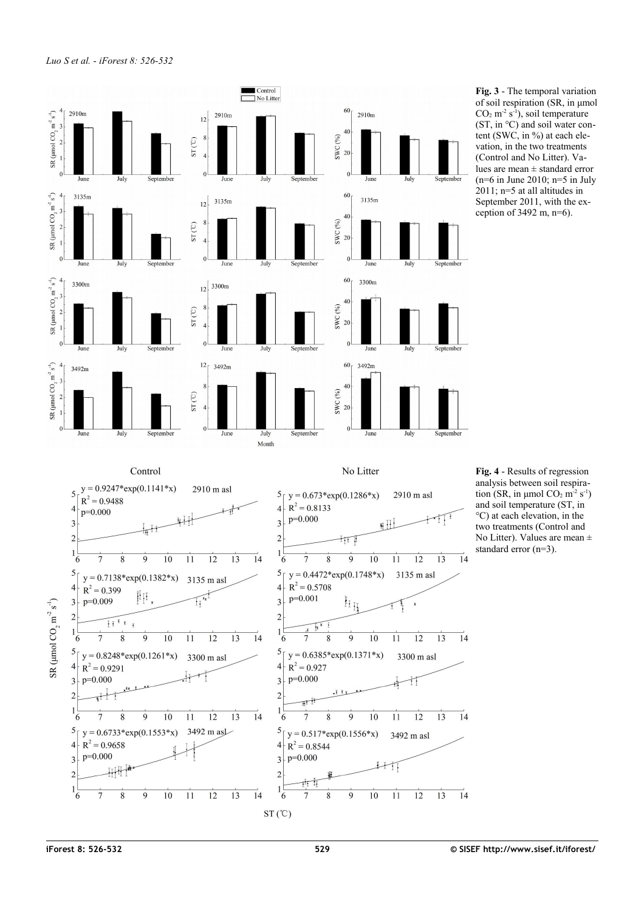

<span id="page-3-1"></span>**Fig. 3** - The temporal variation of soil respiration (SR, in μmol  $CO<sub>2</sub>$  m<sup>-2</sup> s<sup>-1</sup>), soil temperature (ST, in °C) and soil water content (SWC, in %) at each elevation, in the two treatments (Control and No Litter). Values are mean ± standard error  $(n=6$  in June 2010;  $n=5$  in July 2011; n=5 at all altitudes in September 2011, with the exception of  $3492$  m,  $n=6$ ).

<span id="page-3-0"></span>**Fig. 4** - Results of regression analysis between soil respiration (SR, in μmol  $CO<sub>2</sub>$  m<sup>-2</sup> s<sup>-1</sup>) and soil temperature (ST, in °C) at each elevation, in the two treatments (Control and No Litter). Values are mean  $\pm$ standard error (n=3).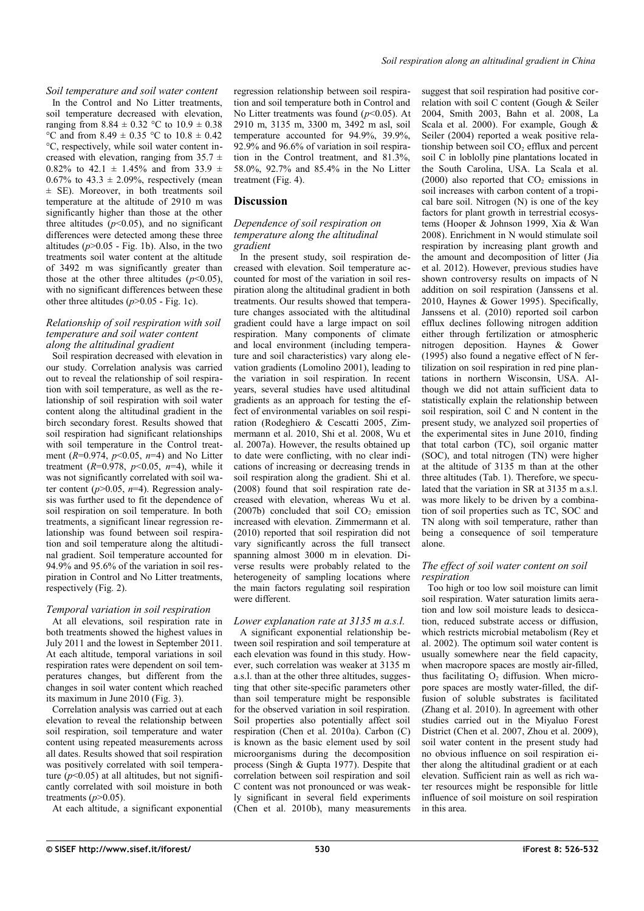*Soil temperature and soil water content*

In the Control and No Litter treatments, soil temperature decreased with elevation, ranging from  $8.84 \pm 0.32$  °C to  $10.9 \pm 0.38$ °C and from 8.49  $\pm$  0.35 °C to 10.8  $\pm$  0.42 °C, respectively, while soil water content increased with elevation, ranging from  $35.7 \pm$ 0.82% to 42.1  $\pm$  1.45% and from 33.9  $\pm$ 0.67% to 43.3  $\pm$  2.09%, respectively (mean ± SE). Moreover, in both treatments soil temperature at the altitude of 2910 m was significantly higher than those at the other three altitudes  $(p<0.05)$ , and no significant differences were detected among these three altitudes  $(p>0.05$  - [Fig. 1b](#page-2-0)). Also, in the two treatments soil water content at the altitude of 3492 m was significantly greater than those at the other three altitudes  $(p<0.05)$ , with no significant differences between these other three altitudes  $(p>0.05$  - [Fig. 1c](#page-2-0)).

#### *Relationship of soil respiration with soil temperature and soil water content along the altitudinal gradient*

Soil respiration decreased with elevation in our study. Correlation analysis was carried out to reveal the relationship of soil respiration with soil temperature, as well as the relationship of soil respiration with soil water content along the altitudinal gradient in the birch secondary forest. Results showed that soil respiration had significant relationships with soil temperature in the Control treatment (*R*=0.974, *p*<0.05, *n*=4) and No Litter treatment  $(R=0.978, p<0.05, n=4)$ , while it was not significantly correlated with soil water content  $(p>0.05, n=4)$ . Regression analysis was further used to fit the dependence of soil respiration on soil temperature. In both treatments, a significant linear regression relationship was found between soil respiration and soil temperature along the altitudinal gradient. Soil temperature accounted for 94.9% and 95.6% of the variation in soil respiration in Control and No Litter treatments, respectively [\(Fig. 2\)](#page-2-1).

## *Temporal variation in soil respiration*

At all elevations, soil respiration rate in both treatments showed the highest values in July 2011 and the lowest in September 2011. At each altitude, temporal variations in soil respiration rates were dependent on soil temperatures changes, but different from the changes in soil water content which reached its maximum in June 2010 [\(Fig. 3\)](#page-3-1).

Correlation analysis was carried out at each elevation to reveal the relationship between soil respiration, soil temperature and water content using repeated measurements across all dates. Results showed that soil respiration was positively correlated with soil temperature  $(p<0.05)$  at all altitudes, but not significantly correlated with soil moisture in both treatments  $(p>0.05)$ .

At each altitude, a significant exponential

regression relationship between soil respiration and soil temperature both in Control and No Litter treatments was found  $(p<0.05)$ . At 2910 m, 3135 m, 3300 m, 3492 m asl, soil temperature accounted for 94.9%, 39.9%, 92.9% and 96.6% of variation in soil respiration in the Control treatment, and 81.3%, 58.0%, 92.7% and 85.4% in the No Litter treatment [\(Fig. 4\)](#page-3-0).

# **Discussion**

#### *Dependence of soil respiration on temperature along the altitudinal gradient*

In the present study, soil respiration decreased with elevation. Soil temperature accounted for most of the variation in soil respiration along the altitudinal gradient in both treatments. Our results showed that temperature changes associated with the altitudinal gradient could have a large impact on soil respiration. Many components of climate and local environment (including temperature and soil characteristics) vary along elevation gradients (Lomolino 2001), leading to the variation in soil respiration. In recent years, several studies have used altitudinal gradients as an approach for testing the effect of environmental variables on soil respiration (Rodeghiero & Cescatti 2005, Zimmermann et al. 2010, Shi et al. 2008, Wu et al. 2007a). However, the results obtained up to date were conflicting, with no clear indications of increasing or decreasing trends in soil respiration along the gradient. Shi et al. (2008) found that soil respiration rate decreased with elevation, whereas Wu et al.  $(2007b)$  concluded that soil  $CO<sub>2</sub>$  emission increased with elevation. Zimmermann et al. (2010) reported that soil respiration did not vary significantly across the full transect spanning almost 3000 m in elevation. Diverse results were probably related to the heterogeneity of sampling locations where the main factors regulating soil respiration were different.

## *Lower explanation rate at 3135 m a.s.l.*

A significant exponential relationship between soil respiration and soil temperature at each elevation was found in this study. However, such correlation was weaker at 3135 m a.s.l. than at the other three altitudes, suggesting that other site-specific parameters other than soil temperature might be responsible for the observed variation in soil respiration. Soil properties also potentially affect soil respiration (Chen et al. 2010a). Carbon (C) is known as the basic element used by soil microorganisms during the decomposition process (Singh & Gupta 1977). Despite that correlation between soil respiration and soil C content was not pronounced or was weakly significant in several field experiments (Chen et al. 2010b), many measurements suggest that soil respiration had positive correlation with soil C content (Gough & Seiler 2004, Smith 2003, Bahn et al. 2008, La Scala et al. 2000). For example, Gough & Seiler (2004) reported a weak positive relationship between soil  $CO<sub>2</sub>$  efflux and percent soil C in loblolly pine plantations located in the South Carolina, USA. La Scala et al. (2000) also reported that  $CO<sub>2</sub>$  emissions in soil increases with carbon content of a tropical bare soil. Nitrogen (N) is one of the key factors for plant growth in terrestrial ecosystems (Hooper & Johnson 1999, Xia & Wan 2008). Enrichment in N would stimulate soil respiration by increasing plant growth and the amount and decomposition of litter (Jia et al. 2012). However, previous studies have shown controversy results on impacts of N addition on soil respiration (Janssens et al. 2010, Haynes & Gower 1995). Specifically, Janssens et al. (2010) reported soil carbon efflux declines following nitrogen addition either through fertilization or atmospheric nitrogen deposition. Haynes & Gower (1995) also found a negative effect of N fertilization on soil respiration in red pine plantations in northern Wisconsin, USA. Although we did not attain sufficient data to statistically explain the relationship between soil respiration, soil C and N content in the present study, we analyzed soil properties of the experimental sites in June 2010, finding that total carbon (TC), soil organic matter (SOC), and total nitrogen (TN) were higher at the altitude of 3135 m than at the other three altitudes [\(Tab. 1\)](#page-1-0). Therefore, we speculated that the variation in SR at 3135 m a.s.l. was more likely to be driven by a combination of soil properties such as TC, SOC and TN along with soil temperature, rather than being a consequence of soil temperature alone.

### *The effect of soil water content on soil respiration*

Too high or too low soil moisture can limit soil respiration. Water saturation limits aeration and low soil moisture leads to desiccation, reduced substrate access or diffusion, which restricts microbial metabolism (Rey et al. 2002). The optimum soil water content is usually somewhere near the field capacity, when macropore spaces are mostly air-filled, thus facilitating  $\overline{O_2}$  diffusion. When micropore spaces are mostly water-filled, the diffusion of soluble substrates is facilitated (Zhang et al. 2010). In agreement with other studies carried out in the Miyaluo Forest District (Chen et al. 2007, Zhou et al. 2009), soil water content in the present study had no obvious influence on soil respiration either along the altitudinal gradient or at each elevation. Sufficient rain as well as rich water resources might be responsible for little influence of soil moisture on soil respiration in this area.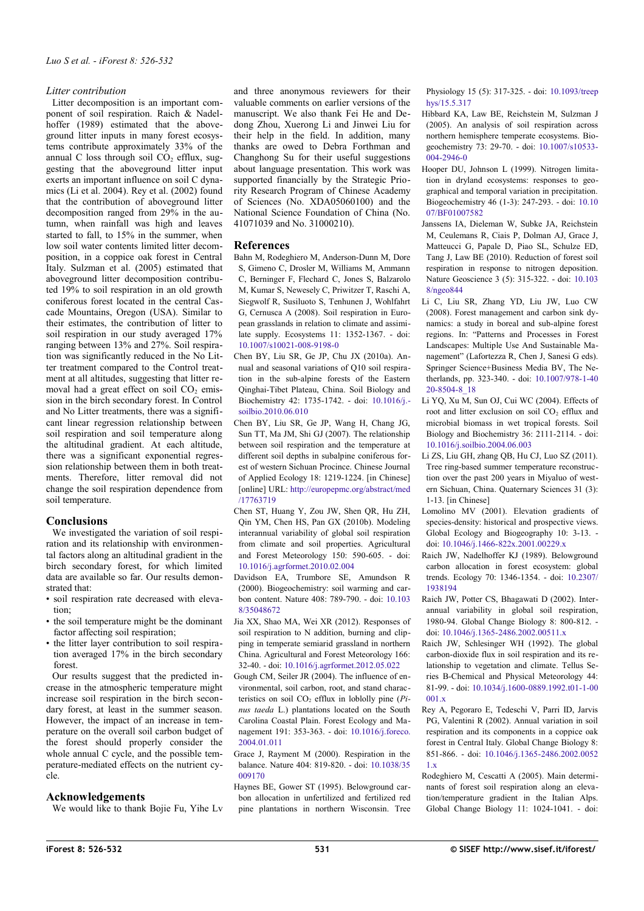## *Litter contribution*

Litter decomposition is an important component of soil respiration. Raich & Nadelhoffer (1989) estimated that the aboveground litter inputs in many forest ecosystems contribute approximately 33% of the annual C loss through soil  $CO<sub>2</sub>$  efflux, suggesting that the aboveground litter input exerts an important influence on soil C dynamics (Li et al. 2004). Rey et al. (2002) found that the contribution of aboveground litter decomposition ranged from 29% in the autumn, when rainfall was high and leaves started to fall, to 15% in the summer, when low soil water contents limited litter decomposition, in a coppice oak forest in Central Italy. Sulzman et al. (2005) estimated that aboveground litter decomposition contributed 19% to soil respiration in an old growth coniferous forest located in the central Cascade Mountains, Oregon (USA). Similar to their estimates, the contribution of litter to soil respiration in our study averaged 17% ranging between 13% and 27%. Soil respiration was significantly reduced in the No Litter treatment compared to the Control treatment at all altitudes, suggesting that litter removal had a great effect on soil  $CO<sub>2</sub>$  emission in the birch secondary forest. In Control and No Litter treatments, there was a significant linear regression relationship between soil respiration and soil temperature along the altitudinal gradient. At each altitude, there was a significant exponential regression relationship between them in both treatments. Therefore, litter removal did not change the soil respiration dependence from soil temperature.

## **Conclusions**

We investigated the variation of soil respiration and its relationship with environmental factors along an altitudinal gradient in the birch secondary forest, for which limited data are available so far. Our results demonstrated that:

- soil respiration rate decreased with elevation;
- the soil temperature might be the dominant factor affecting soil respiration;
- the litter layer contribution to soil respiration averaged 17% in the birch secondary forest.

Our results suggest that the predicted increase in the atmospheric temperature might increase soil respiration in the birch secondary forest, at least in the summer season. However, the impact of an increase in temperature on the overall soil carbon budget of the forest should properly consider the whole annual C cycle, and the possible temperature-mediated effects on the nutrient cycle.

### **Acknowledgements**

We would like to thank Bojie Fu, Yihe Lv

and three anonymous reviewers for their valuable comments on earlier versions of the manuscript. We also thank Fei He and Dedong Zhou, Xuerong Li and Jinwei Liu for their help in the field. In addition, many thanks are owed to Debra Forthman and Changhong Su for their useful suggestions about language presentation. This work was supported financially by the Strategic Priority Research Program of Chinese Academy of Sciences (No. XDA05060100) and the National Science Foundation of China (No. 41071039 and No. 31000210).

## **References**

- Bahn M, Rodeghiero M, Anderson-Dunn M, Dore S, Gimeno C, Drosler M, Williams M, Ammann C, Berninger F, Flechard C, Jones S, Balzarolo M, Kumar S, Newesely C, Priwitzer T, Raschi A, Siegwolf R, Susiluoto S, Tenhunen J, Wohlfahrt G, Cernusca A (2008). Soil respiration in European grasslands in relation to climate and assimilate supply. Ecosystems 11: 1352-1367. - doi: [10.1007/s10021-008-9198-0](http://dx.doi.org/10.1007/s10021-008-9198-0)
- Chen BY, Liu SR, Ge JP, Chu JX (2010a). Annual and seasonal variations of Q10 soil respiration in the sub-alpine forests of the Eastern Qinghai-Tibet Plateau, China. Soil Biology and Biochemistry 42: 1735-1742. - doi: [10.1016/j.](http://dx.doi.org/10.1016/j.soilbio.2010.06.010) [soilbio.2010.06.010](http://dx.doi.org/10.1016/j.soilbio.2010.06.010)
- Chen BY, Liu SR, Ge JP, Wang H, Chang JG, Sun TT, Ma JM, Shi GJ (2007). The relationship between soil respiration and the temperature at different soil depths in subalpine coniferous forest of western Sichuan Procince. Chinese Journal of Applied Ecology 18: 1219-1224. [in Chinese] [online] URL: [http://europepmc.org/abstract/med](http://europepmc.org/abstract/med/17763719) [/17763719](http://europepmc.org/abstract/med/17763719)
- Chen ST, Huang Y, Zou JW, Shen QR, Hu ZH, Qin YM, Chen HS, Pan GX (2010b). Modeling interannual variability of global soil respiration from climate and soil properties. Agricultural and Forest Meteorology 150: 590-605. - doi: [10.1016/j.agrformet.2010.02.004](http://dx.doi.org/10.1016/j.agrformet.2010.02.004)
- Davidson EA, Trumbore SE, Amundson R (2000). Biogeochemistry: soil warming and carbon content. Nature 408: 789-790. - doi: [10.103](http://dx.doi.org/10.1038/35048672) [8/35048672](http://dx.doi.org/10.1038/35048672)
- Jia XX, Shao MA, Wei XR (2012). Responses of soil respiration to N addition, burning and clipping in temperate semiarid grassland in northern China. Agricultural and Forest Meteorology 166: 32-40. - doi: [10.1016/j.agrformet.2012.05.022](http://dx.doi.org/10.1016/j.agrformet.2012.05.022)
- Gough CM, Seiler JR (2004). The influence of environmental, soil carbon, root, and stand characteristics on soil  $CO<sub>2</sub>$  efflux in loblolly pine ( $Pi<sub>i</sub>$ *nus taeda* L.) plantations located on the South Carolina Coastal Plain. Forest Ecology and Management 191: 353-363. - doi: [10.1016/j.foreco.](http://dx.doi.org/10.1016/j.foreco.2004.01.011) [2004.01.011](http://dx.doi.org/10.1016/j.foreco.2004.01.011)

Grace J, Rayment M (2000). Respiration in the balance. Nature 404: 819-820. - doi: [10.1038/35](http://dx.doi.org/10.1038/35009170) [009170](http://dx.doi.org/10.1038/35009170)

Haynes BE, Gower ST (1995). Belowground carbon allocation in unfertilized and fertilized red pine plantations in northern Wisconsin. Tree Physiology 15 (5): 317-325. - doi: [10.1093/treep](http://dx.doi.org/10.1093/treephys/15.5.317) [hys/15.5.317](http://dx.doi.org/10.1093/treephys/15.5.317)

Hibbard KA, Law BE, Reichstein M, Sulzman J (2005). An analysis of soil respiration across northern hemisphere temperate ecosystems. Biogeochemistry 73: 29-70. - doi: [10.1007/s10533-](http://dx.doi.org/10.1007/s10533-004-2946-0) [004-2946-0](http://dx.doi.org/10.1007/s10533-004-2946-0)

- Hooper DU, Johnson L (1999). Nitrogen limitation in dryland ecosystems: responses to geographical and temporal variation in precipitation. Biogeochemistry 46 (1-3): 247-293. - doi: [10.10](http://dx.doi.org/10.1007/BF01007582) [07/BF01007582](http://dx.doi.org/10.1007/BF01007582)
- Janssens IA, Dieleman W, Subke JA, Reichstein M, Ceulemans R, Ciais P, Dolman AJ, Grace J, Matteucci G, Papale D, Piao SL, Schulze ED, Tang J, Law BE (2010). Reduction of forest soil respiration in response to nitrogen deposition. Nature Geoscience 3 (5): 315-322. - doi: [10.103](http://dx.doi.org/10.1038/ngeo844) [8/ngeo844](http://dx.doi.org/10.1038/ngeo844)
- Li C, Liu SR, Zhang YD, Liu JW, Luo CW (2008). Forest management and carbon sink dynamics: a study in boreal and sub-alpine forest regions. In: "Patterns and Processes in Forest Landscapes: Multiple Use And Sustainable Management" (Lafortezza R, Chen J, Sanesi G eds). Springer Science+Business Media BV, The Netherlands, pp. 323-340. - doi: [10.1007/978-1-40](http://dx.doi.org/10.1007/978-1-4020-8504-8_18) [20-8504-8\\_18](http://dx.doi.org/10.1007/978-1-4020-8504-8_18)
- Li YQ, Xu M, Sun OJ, Cui WC (2004). Effects of root and litter exclusion on soil CO<sub>2</sub> efflux and microbial biomass in wet tropical forests. Soil Biology and Biochemistry 36: 2111-2114. - doi: [10.1016/j.soilbio.2004.06.003](http://dx.doi.org/10.1016/j.soilbio.2004.06.003)
- Li ZS, Liu GH, zhang QB, Hu CJ, Luo SZ (2011). Tree ring-based summer temperature reconstruction over the past 200 years in Miyaluo of western Sichuan, China. Quaternary Sciences 31 (3): 1-13. [in Chinese]
- Lomolino MV (2001). Elevation gradients of species-density: historical and prospective views. Global Ecology and Biogeography 10: 3-13. doi: [10.1046/j.1466-822x.2001.00229.x](http://dx.doi.org/10.1046/j.1466-822x.2001.00229.x)
- Raich JW, Nadelhoffer KJ (1989). Belowground carbon allocation in forest ecosystem: global trends. Ecology 70: 1346-1354. - doi: [10.2307/](http://dx.doi.org/10.2307/1938194) [1938194](http://dx.doi.org/10.2307/1938194)
- Raich JW, Potter CS, Bhagawati D (2002). Interannual variability in global soil respiration, 1980-94. Global Change Biology 8: 800-812. doi: [10.1046/j.1365-2486.2002.00511.x](http://dx.doi.org/10.1046/j.1365-2486.2002.00511.x)
- Raich JW, Schlesinger WH (1992). The global carbon-dioxide flux in soil respiration and its relationship to vegetation and climate. Tellus Series B-Chemical and Physical Meteorology 44: 81-99. - doi: [10.1034/j.1600-0889.1992.t01-1-00](http://dx.doi.org/10.1034/j.1600-0889.1992.t01-1-00001.x) [001.x](http://dx.doi.org/10.1034/j.1600-0889.1992.t01-1-00001.x)
- Rey A, Pegoraro E, Tedeschi V, Parri ID, Jarvis PG, Valentini R (2002). Annual variation in soil respiration and its components in a coppice oak forest in Central Italy. Global Change Biology 8: 851-866. - doi: [10.1046/j.1365-2486.2002.0052](http://dx.doi.org/10.1046/j.1365-2486.2002.00521.x) [1.x](http://dx.doi.org/10.1046/j.1365-2486.2002.00521.x)
- Rodeghiero M, Cescatti A (2005). Main determinants of forest soil respiration along an elevation/temperature gradient in the Italian Alps. Global Change Biology 11: 1024-1041. - doi: